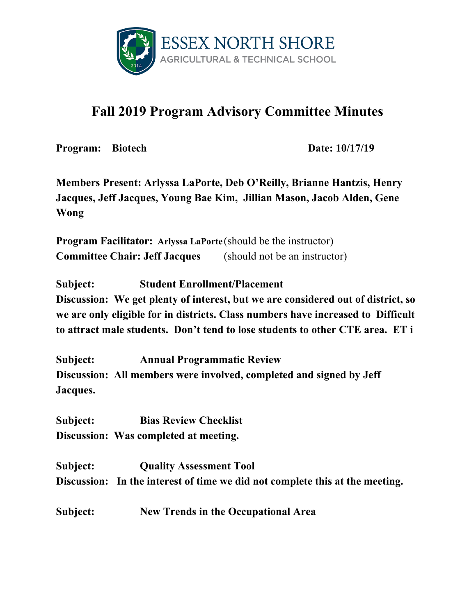

## **Fall 2019 Program Advisory Committee Minutes**

**Program:** Biotech **Date:** 10/17/19

**Members Present: Arlyssa LaPorte, Deb O'Reilly, Brianne Hantzis, Henry Jacques, Jeff Jacques, Young Bae Kim, Jillian Mason, Jacob Alden, Gene Wong**

**Program Facilitator: Arlyssa LaPorte** (should be the instructor) **Committee Chair: Jeff Jacques** (should not be an instructor)

**Subject: Student Enrollment/Placement**

**Discussion: We get plenty of interest, but we are considered out of district, so we are only eligible for in districts. Class numbers have increased to Difficult to attract male students. Don't tend to lose students to other CTE area. ET i**

**Subject: Annual Programmatic Review Discussion: All members were involved, completed and signed by Jeff Jacques.**

**Subject: Bias Review Checklist Discussion: Was completed at meeting.**

**Subject: Quality Assessment Tool Discussion: In the interest of time we did not complete this at the meeting.**

**Subject: New Trends in the Occupational Area**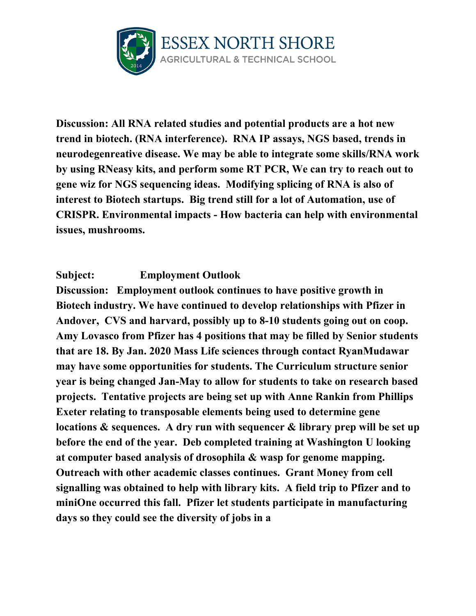

**Discussion: All RNA related studies and potential products are a hot new trend in biotech. (RNA interference). RNA IP assays, NGS based, trends in neurodegenreative disease. We may be able to integrate some skills/RNA work by using RNeasy kits, and perform some RT PCR, We can try to reach out to gene wiz for NGS sequencing ideas. Modifying splicing of RNA is also of interest to Biotech startups. Big trend still for a lot of Automation, use of CRISPR. Environmental impacts - How bacteria can help with environmental issues, mushrooms.**

## **Subject: Employment Outlook**

**Discussion: Employment outlook continues to have positive growth in Biotech industry. We have continued to develop relationships with Pfizer in Andover, CVS and harvard, possibly up to 8-10 students going out on coop. Amy Lovasco from Pfizer has 4 positions that may be filled by Senior students that are 18. By Jan. 2020 Mass Life sciences through contact RyanMudawar may have some opportunities for students. The Curriculum structure senior year is being changed Jan-May to allow for students to take on research based projects. Tentative projects are being set up with Anne Rankin from Phillips Exeter relating to transposable elements being used to determine gene locations & sequences. A dry run with sequencer & library prep will be set up before the end of the year. Deb completed training at Washington U looking at computer based analysis of drosophila & wasp for genome mapping. Outreach with other academic classes continues. Grant Money from cell signalling was obtained to help with library kits. A field trip to Pfizer and to miniOne occurred this fall. Pfizer let students participate in manufacturing days so they could see the diversity of jobs in a**